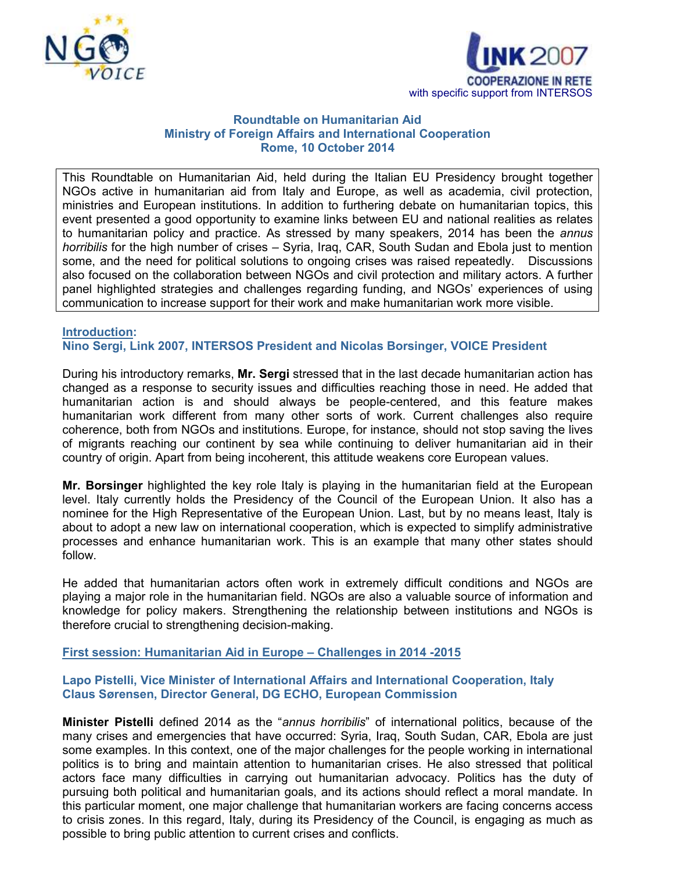



## **Roundtable on Humanitarian Aid Ministry of Foreign Affairs and International Cooperation Rome, 10 October 2014**

This Roundtable on Humanitarian Aid, held during the Italian EU Presidency brought together NGOs active in humanitarian aid from Italy and Europe, as well as academia, civil protection, ministries and European institutions. In addition to furthering debate on humanitarian topics, this event presented a good opportunity to examine links between EU and national realities as relates to humanitarian policy and practice. As stressed by many speakers, 2014 has been the *annus horribilis* for the high number of crises – Syria, Iraq, CAR, South Sudan and Ebola just to mention some, and the need for political solutions to ongoing crises was raised repeatedly. Discussions also focused on the collaboration between NGOs and civil protection and military actors. A further panel highlighted strategies and challenges regarding funding, and NGOs' experiences of using communication to increase support for their work and make humanitarian work more visible.

## **Introduction: Nino Sergi, Link 2007, INTERSOS President and Nicolas Borsinger, VOICE President**

During his introductory remarks, **Mr. Sergi** stressed that in the last decade humanitarian action has changed as a response to security issues and difficulties reaching those in need. He added that humanitarian action is and should always be people-centered, and this feature makes humanitarian work different from many other sorts of work. Current challenges also require coherence, both from NGOs and institutions. Europe, for instance, should not stop saving the lives of migrants reaching our continent by sea while continuing to deliver humanitarian aid in their country of origin. Apart from being incoherent, this attitude weakens core European values.

**Mr. Borsinger** highlighted the key role Italy is playing in the humanitarian field at the European level. Italy currently holds the Presidency of the Council of the European Union. It also has a nominee for the High Representative of the European Union. Last, but by no means least, Italy is about to adopt a new law on international cooperation, which is expected to simplify administrative processes and enhance humanitarian work. This is an example that many other states should follow.

He added that humanitarian actors often work in extremely difficult conditions and NGOs are playing a major role in the humanitarian field. NGOs are also a valuable source of information and knowledge for policy makers. Strengthening the relationship between institutions and NGOs is therefore crucial to strengthening decision-making.

# **First session: Humanitarian Aid in Europe – Challenges in 2014 -2015**

## **Lapo Pistelli, Vice Minister of International Affairs and International Cooperation, Italy Claus Sørensen, Director General, DG ECHO, European Commission**

**Minister Pistelli** defined 2014 as the "*annus horribilis*" of international politics, because of the many crises and emergencies that have occurred: Syria, Iraq, South Sudan, CAR, Ebola are just some examples. In this context, one of the major challenges for the people working in international politics is to bring and maintain attention to humanitarian crises. He also stressed that political actors face many difficulties in carrying out humanitarian advocacy. Politics has the duty of pursuing both political and humanitarian goals, and its actions should reflect a moral mandate. In this particular moment, one major challenge that humanitarian workers are facing concerns access to crisis zones. In this regard, Italy, during its Presidency of the Council, is engaging as much as possible to bring public attention to current crises and conflicts.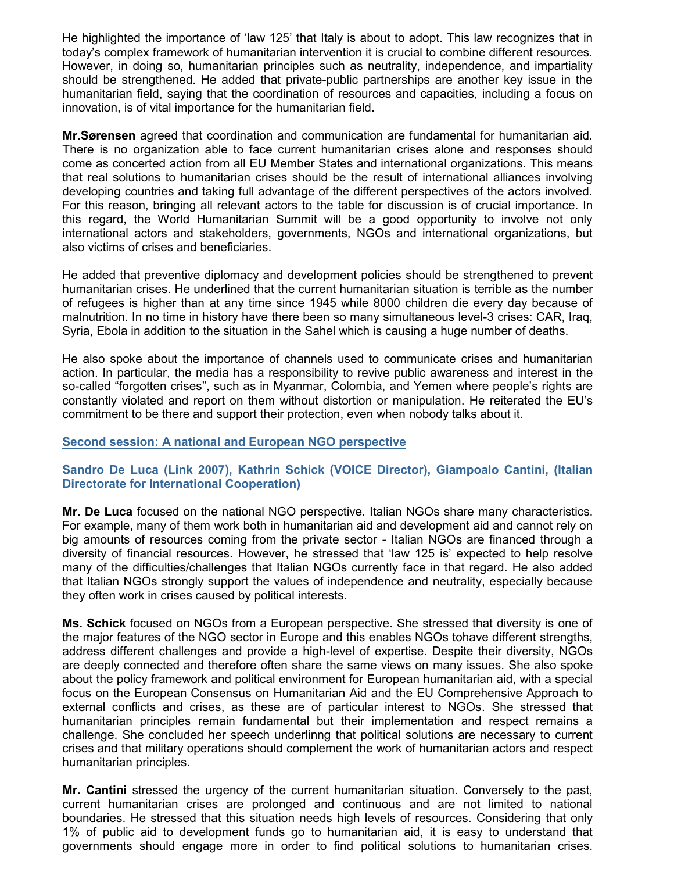He highlighted the importance of 'law 125' that Italy is about to adopt. This law recognizes that in today's complex framework of humanitarian intervention it is crucial to combine different resources. However, in doing so, humanitarian principles such as neutrality, independence, and impartiality should be strengthened. He added that private-public partnerships are another key issue in the humanitarian field, saying that the coordination of resources and capacities, including a focus on innovation, is of vital importance for the humanitarian field.

**Mr.Sørensen** agreed that coordination and communication are fundamental for humanitarian aid. There is no organization able to face current humanitarian crises alone and responses should come as concerted action from all EU Member States and international organizations. This means that real solutions to humanitarian crises should be the result of international alliances involving developing countries and taking full advantage of the different perspectives of the actors involved. For this reason, bringing all relevant actors to the table for discussion is of crucial importance. In this regard, the World Humanitarian Summit will be a good opportunity to involve not only international actors and stakeholders, governments, NGOs and international organizations, but also victims of crises and beneficiaries.

He added that preventive diplomacy and development policies should be strengthened to prevent humanitarian crises. He underlined that the current humanitarian situation is terrible as the number of refugees is higher than at any time since 1945 while 8000 children die every day because of malnutrition. In no time in history have there been so many simultaneous level-3 crises: CAR, Iraq, Syria, Ebola in addition to the situation in the Sahel which is causing a huge number of deaths.

He also spoke about the importance of channels used to communicate crises and humanitarian action. In particular, the media has a responsibility to revive public awareness and interest in the so-called "forgotten crises", such as in Myanmar, Colombia, and Yemen where people's rights are constantly violated and report on them without distortion or manipulation. He reiterated the EU's commitment to be there and support their protection, even when nobody talks about it.

#### **Second session: A national and European NGO perspective**

# **Sandro De Luca (Link 2007), Kathrin Schick (VOICE Director), Giampoalo Cantini, (Italian Directorate for International Cooperation)**

**Mr. De Luca** focused on the national NGO perspective. Italian NGOs share many characteristics. For example, many of them work both in humanitarian aid and development aid and cannot rely on big amounts of resources coming from the private sector - Italian NGOs are financed through a diversity of financial resources. However, he stressed that 'law 125 is' expected to help resolve many of the difficulties/challenges that Italian NGOs currently face in that regard. He also added that Italian NGOs strongly support the values of independence and neutrality, especially because they often work in crises caused by political interests.

**Ms. Schick** focused on NGOs from a European perspective. She stressed that diversity is one of the major features of the NGO sector in Europe and this enables NGOs tohave different strengths, address different challenges and provide a high-level of expertise. Despite their diversity, NGOs are deeply connected and therefore often share the same views on many issues. She also spoke about the policy framework and political environment for European humanitarian aid, with a special focus on the European Consensus on Humanitarian Aid and the EU Comprehensive Approach to external conflicts and crises, as these are of particular interest to NGOs. She stressed that humanitarian principles remain fundamental but their implementation and respect remains a challenge. She concluded her speech underlinng that political solutions are necessary to current crises and that military operations should complement the work of humanitarian actors and respect humanitarian principles.

**Mr. Cantini** stressed the urgency of the current humanitarian situation. Conversely to the past, current humanitarian crises are prolonged and continuous and are not limited to national boundaries. He stressed that this situation needs high levels of resources. Considering that only 1% of public aid to development funds go to humanitarian aid, it is easy to understand that governments should engage more in order to find political solutions to humanitarian crises.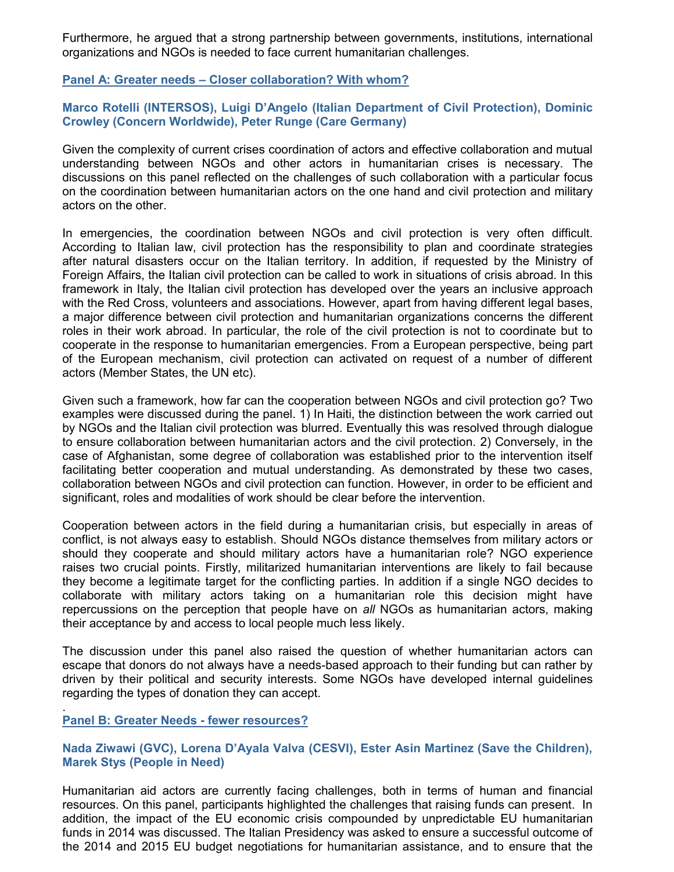Furthermore, he argued that a strong partnership between governments, institutions, international organizations and NGOs is needed to face current humanitarian challenges.

**Panel A: Greater needs – Closer collaboration? With whom?** 

## **Marco Rotelli (INTERSOS), Luigi D'Angelo (Italian Department of Civil Protection), Dominic Crowley (Concern Worldwide), Peter Runge (Care Germany)**

Given the complexity of current crises coordination of actors and effective collaboration and mutual understanding between NGOs and other actors in humanitarian crises is necessary. The discussions on this panel reflected on the challenges of such collaboration with a particular focus on the coordination between humanitarian actors on the one hand and civil protection and military actors on the other.

In emergencies, the coordination between NGOs and civil protection is very often difficult. According to Italian law, civil protection has the responsibility to plan and coordinate strategies after natural disasters occur on the Italian territory. In addition, if requested by the Ministry of Foreign Affairs, the Italian civil protection can be called to work in situations of crisis abroad. In this framework in Italy, the Italian civil protection has developed over the years an inclusive approach with the Red Cross, volunteers and associations. However, apart from having different legal bases, a major difference between civil protection and humanitarian organizations concerns the different roles in their work abroad. In particular, the role of the civil protection is not to coordinate but to cooperate in the response to humanitarian emergencies. From a European perspective, being part of the European mechanism, civil protection can activated on request of a number of different actors (Member States, the UN etc).

Given such a framework, how far can the cooperation between NGOs and civil protection go? Two examples were discussed during the panel. 1) In Haiti, the distinction between the work carried out by NGOs and the Italian civil protection was blurred. Eventually this was resolved through dialogue to ensure collaboration between humanitarian actors and the civil protection. 2) Conversely, in the case of Afghanistan, some degree of collaboration was established prior to the intervention itself facilitating better cooperation and mutual understanding. As demonstrated by these two cases, collaboration between NGOs and civil protection can function. However, in order to be efficient and significant, roles and modalities of work should be clear before the intervention.

Cooperation between actors in the field during a humanitarian crisis, but especially in areas of conflict, is not always easy to establish. Should NGOs distance themselves from military actors or should they cooperate and should military actors have a humanitarian role? NGO experience raises two crucial points. Firstly, militarized humanitarian interventions are likely to fail because they become a legitimate target for the conflicting parties. In addition if a single NGO decides to collaborate with military actors taking on a humanitarian role this decision might have repercussions on the perception that people have on *all* NGOs as humanitarian actors, making their acceptance by and access to local people much less likely.

The discussion under this panel also raised the question of whether humanitarian actors can escape that donors do not always have a needs-based approach to their funding but can rather by driven by their political and security interests. Some NGOs have developed internal guidelines regarding the types of donation they can accept.

#### **Panel B: Greater Needs - fewer resources?**

.

## **Nada Ziwawi (GVC), Lorena D'Ayala Valva (CESVI), Ester Asin Martinez (Save the Children), Marek Stys (People in Need)**

Humanitarian aid actors are currently facing challenges, both in terms of human and financial resources. On this panel, participants highlighted the challenges that raising funds can present. In addition, the impact of the EU economic crisis compounded by unpredictable EU humanitarian funds in 2014 was discussed. The Italian Presidency was asked to ensure a successful outcome of the 2014 and 2015 EU budget negotiations for humanitarian assistance, and to ensure that the